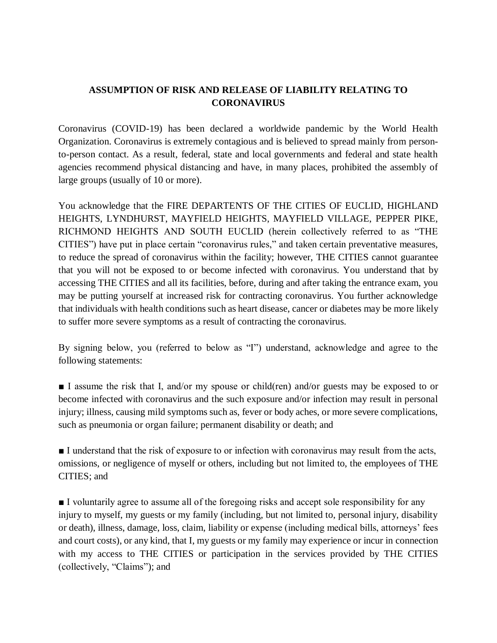## **ASSUMPTION OF RISK AND RELEASE OF LIABILITY RELATING TO CORONAVIRUS**

Coronavirus (COVID-19) has been declared a worldwide pandemic by the World Health Organization. Coronavirus is extremely contagious and is believed to spread mainly from personto-person contact. As a result, federal, state and local governments and federal and state health agencies recommend physical distancing and have, in many places, prohibited the assembly of large groups (usually of 10 or more).

You acknowledge that the FIRE DEPARTENTS OF THE CITIES OF EUCLID, HIGHLAND HEIGHTS, LYNDHURST, MAYFIELD HEIGHTS, MAYFIELD VILLAGE, PEPPER PIKE, RICHMOND HEIGHTS AND SOUTH EUCLID (herein collectively referred to as "THE CITIES") have put in place certain "coronavirus rules," and taken certain preventative measures, to reduce the spread of coronavirus within the facility; however, THE CITIES cannot guarantee that you will not be exposed to or become infected with coronavirus. You understand that by accessing THE CITIES and all its facilities, before, during and after taking the entrance exam, you may be putting yourself at increased risk for contracting coronavirus. You further acknowledge that individuals with health conditions such as heart disease, cancer or diabetes may be more likely to suffer more severe symptoms as a result of contracting the coronavirus.

By signing below, you (referred to below as "I") understand, acknowledge and agree to the following statements:

■ I assume the risk that I, and/or my spouse or child(ren) and/or guests may be exposed to or become infected with coronavirus and the such exposure and/or infection may result in personal injury; illness, causing mild symptoms such as, fever or body aches, or more severe complications, such as pneumonia or organ failure; permanent disability or death; and

■ I understand that the risk of exposure to or infection with coronavirus may result from the acts, omissions, or negligence of myself or others, including but not limited to, the employees of THE CITIES; and

■ I voluntarily agree to assume all of the foregoing risks and accept sole responsibility for any injury to myself, my guests or my family (including, but not limited to, personal injury, disability or death), illness, damage, loss, claim, liability or expense (including medical bills, attorneys' fees and court costs), or any kind, that I, my guests or my family may experience or incur in connection with my access to THE CITIES or participation in the services provided by THE CITIES (collectively, "Claims"); and